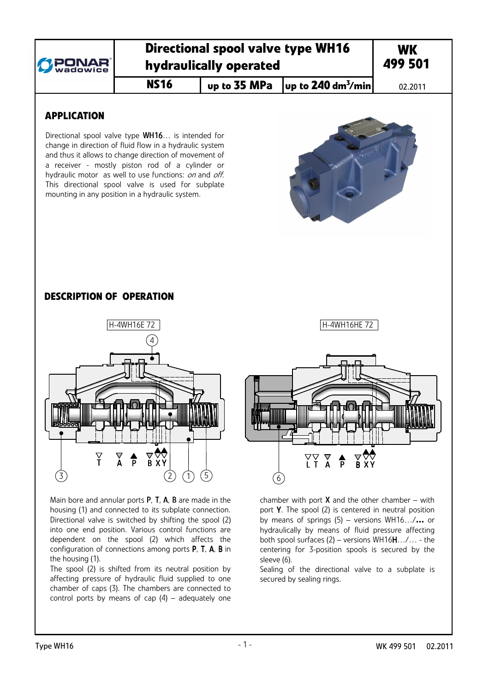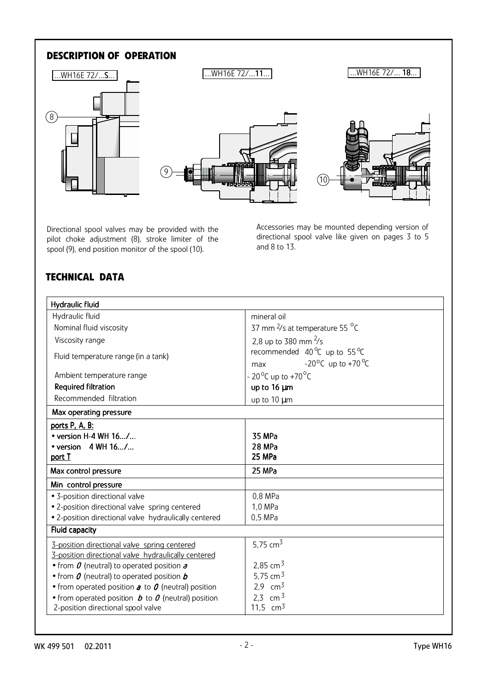# **DESCRIPTION OF OPERATION**



Directional spool valves may be provided with the pilot choke adjustment (8), stroke limiter of the spool (9), end position monitor of the spool (10).

Accessories may be mounted depending version of directional spool valve like given on pages 3 to 5 and 8 to 13.

# **TECHNICAL DATA**

| Hydraulic fluid                                                                  |                                                    |  |  |  |  |  |  |  |
|----------------------------------------------------------------------------------|----------------------------------------------------|--|--|--|--|--|--|--|
| Hydraulic fluid                                                                  | mineral oil                                        |  |  |  |  |  |  |  |
| Nominal fluid viscosity                                                          | 37 mm <sup>2</sup> /s at temperature 55 °C         |  |  |  |  |  |  |  |
| Viscosity range                                                                  | 2,8 up to 380 mm $\frac{2}{5}$                     |  |  |  |  |  |  |  |
| Fluid temperature range (in a tank)                                              | recommended 40 ℃ up to 55 ℃                        |  |  |  |  |  |  |  |
|                                                                                  | -20 <sup>o</sup> C up to +70 <sup>o</sup> C<br>max |  |  |  |  |  |  |  |
| Ambient temperature range                                                        | - 20 <sup>o</sup> C up to +70 <sup>o</sup> C       |  |  |  |  |  |  |  |
| <b>Required filtration</b>                                                       | up to 16 µm                                        |  |  |  |  |  |  |  |
| Recommended filtration                                                           | up to 10 µm                                        |  |  |  |  |  |  |  |
| Max operating pressure                                                           |                                                    |  |  |  |  |  |  |  |
| ports P. A. B:                                                                   |                                                    |  |  |  |  |  |  |  |
| $\bullet$ version H-4 WH 16/                                                     | 35 MPa                                             |  |  |  |  |  |  |  |
| • version $4$ WH $16/$                                                           | 28 MPa                                             |  |  |  |  |  |  |  |
| port T                                                                           | 25 MPa                                             |  |  |  |  |  |  |  |
| Max control pressure                                                             | 25 MPa                                             |  |  |  |  |  |  |  |
| Min control pressure                                                             |                                                    |  |  |  |  |  |  |  |
| · 3-position directional valve                                                   | 0,8 MPa                                            |  |  |  |  |  |  |  |
| • 2-position directional valve spring centered                                   | 1,0 MPa                                            |  |  |  |  |  |  |  |
| • 2-position directional valve hydraulically centered                            | $0,5$ MPa                                          |  |  |  |  |  |  |  |
| Fluid capacity                                                                   |                                                    |  |  |  |  |  |  |  |
| 3-position directional valve spring centered                                     | 5,75 $cm3$                                         |  |  |  |  |  |  |  |
| 3-position directional valve hydraulically centered                              |                                                    |  |  |  |  |  |  |  |
| • from $\theta$ (neutral) to operated position $\boldsymbol{a}$                  | 2,85 cm <sup>3</sup>                               |  |  |  |  |  |  |  |
| • from $\theta$ (neutral) to operated position $b$                               | 5,75 cm $3$                                        |  |  |  |  |  |  |  |
| • from operated position $\boldsymbol{a}$ to $\boldsymbol{0}$ (neutral) position | 2,9 $cm3$                                          |  |  |  |  |  |  |  |
| • from operated position $b$ to $\theta$ (neutral) position                      | 2.3 cm $3$                                         |  |  |  |  |  |  |  |
| 2-position directional spool valve                                               | 11,5 $cm3$                                         |  |  |  |  |  |  |  |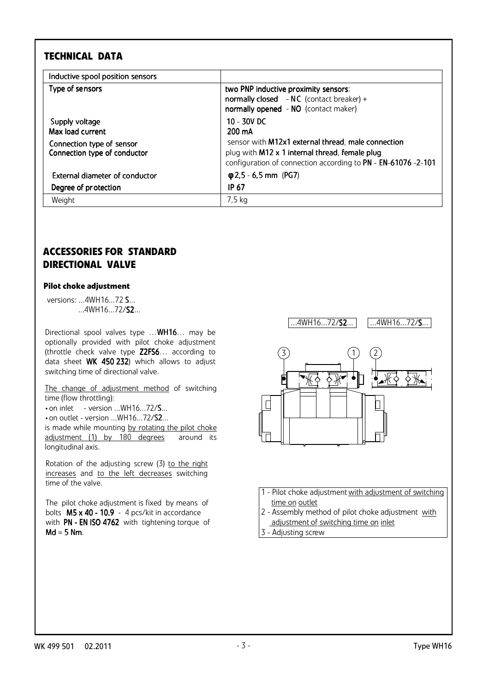## **TECHNICAL DATA**

| Inductive spool position sensors                                                                |                                                                                                                                                                                                                 |
|-------------------------------------------------------------------------------------------------|-----------------------------------------------------------------------------------------------------------------------------------------------------------------------------------------------------------------|
| Type of sensors                                                                                 | two PNP inductive proximity sensors:<br>normally closed - NC (contact breaker) +<br>normally opened - NO (contact maker)                                                                                        |
| Supply voltage<br>Max load current<br>Connection type of sensor<br>Connection type of conductor | 10 - 30V DC<br>$200 \text{ mA}$<br>sensor with <b>M12x1</b> external thread, male connection<br>plug with M12 x 1 internal thread, female plug<br>configuration of connection according to PN - EN-61076 -2-101 |
| External diameter of conductor<br>Degree of protection                                          | $\phi$ 2,5 - 6,5 mm (PG7)<br>IP 67                                                                                                                                                                              |
| Weight                                                                                          | 7,5 kg                                                                                                                                                                                                          |

## **ACCESSORIES FOR STANDARD DIRECTIONAL VALVE**

#### **Pilot choke adjustment**

 versions: ...4WH16...72 S... ...4WH16...72/S2...

Directional spool valves type …WH16… may be optionally provided with pilot choke adjustment (throttle check valve type Z2FS6… according to data sheet WK 450 232) which allows to adjust switching time of directional valve.

The change of adjustment method of switching time (flow throttling):

 $\bullet$  on inlet  $\quad$  - version ...WH16...72/ $\textsf{S}$ ...

• on outlet - version ...WH16...72/S2...

is made while mounting by rotating the pilot choke adjustment (1) by 180 degrees around its longitudinal axis.

Rotation of the adjusting screw  $(3)$  to the right increases and to the left decreases switching time of the valve.

The pilot choke adjustment is fixed by means of bolts  $M5 \times 40 - 10.9 - 4$  pcs/kit in accordance with PN - EN ISO 4762 with tightening torque of  $Md = 5$  Nm.

.4WH16...72/**S2.**.. ...4WH16...72/**S**...



 1 - Pilot choke adjustment with adjustment of switching time on outlet

2 - Assembly method of pilot choke adjustment with

- adjustment of switching time on inlet
- 3 Adjusting screw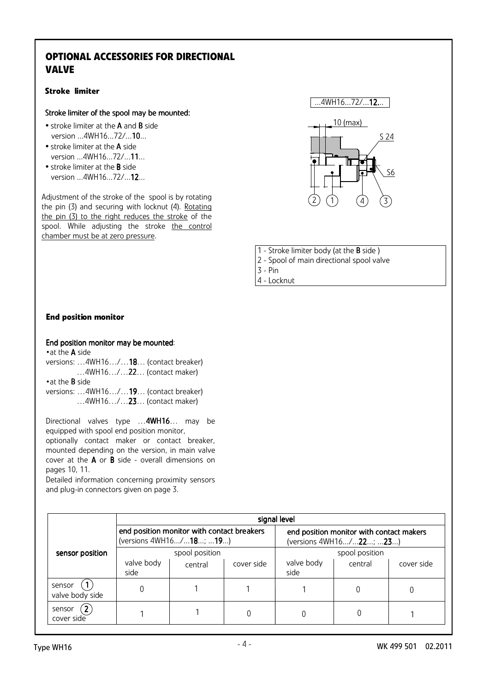# **OPTIONAL ACCESSORIES FOR DIRECTIONAL VALVE**

## **Stroke limiter**

## Stroke limiter of the spool may be mounted:

- stroke limiter at the A and B side version ...4WH16...72/...10...
- stroke limiter at the A side version ...4WH16...72/...11...
- stroke limiter at the B side version ...4WH16...72/...12...

Adjustment of the stroke of the spool is by rotating the pin (3) and securing with locknut (4). Rotating the pin (3) to the right reduces the stroke of the spool. While adjusting the stroke the control chamber must be at zero pressure.



1 - Stroke limiter body (at the B side )

- 2 Spool of main directional spool valve
- 3 Pin

4 - Locknut

## **End position monitor**

#### End position monitor may be mounted:

• at the **A** side versions: …4WH16…/…18… (contact breaker) …4WH16…/…22… (contact maker) • at the **B** side versions: …4WH16…/…19… (contact breaker) …4WH16…/…23… (contact maker)

Directional valves type ... 4WH16... may be equipped with spool end position monitor, optionally contact maker or contact breaker, mounted depending on the version, in main valve cover at the A or B side - overall dimensions on pages 10, 11.

Detailed information concerning proximity sensors and plug-in connectors given on page 3.

|                                               | signal level       |                                                                       |            |                                                                     |                |            |  |  |  |
|-----------------------------------------------|--------------------|-----------------------------------------------------------------------|------------|---------------------------------------------------------------------|----------------|------------|--|--|--|
|                                               |                    | end position monitor with contact breakers<br>(versions 4WH16/18; 19) |            | end position monitor with contact makers<br>(versions 4WH16/22; 23) |                |            |  |  |  |
| sensor position                               |                    | spool position                                                        |            |                                                                     | spool position |            |  |  |  |
|                                               | valve body<br>side | central                                                               | cover side | valve body<br>central<br>side                                       |                | cover side |  |  |  |
| sensor<br>valve body side                     | 0                  |                                                                       |            |                                                                     |                |            |  |  |  |
| $\mathbf{2}^{\prime}$<br>sensor<br>cover side |                    |                                                                       |            | 0                                                                   |                |            |  |  |  |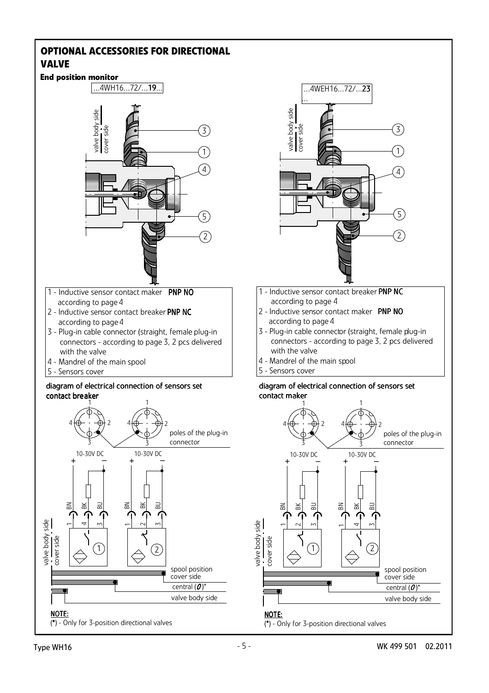## **OPTIONAL ACCESSORIES FOR DIRECTIONAL VALVE**

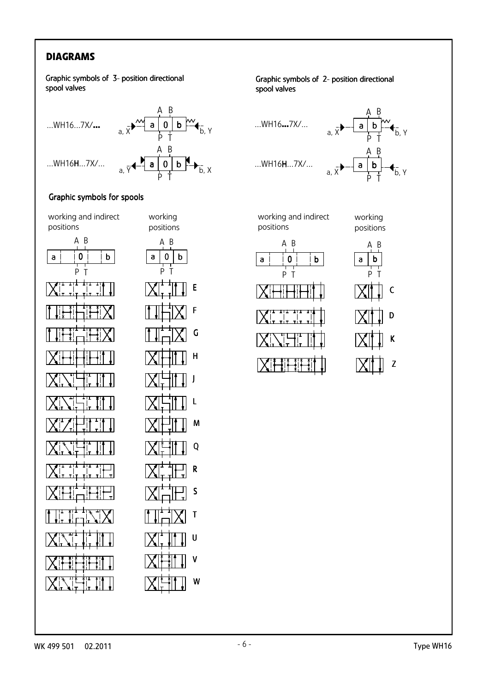# **DIAGRAMS**

Graphic symbols of 3- position directional spool valves



## Graphic symbols for spools





V

W

## Graphic symbols of 2- position directional spool valves



working and indirect positions

working positions

K

Z

C

D



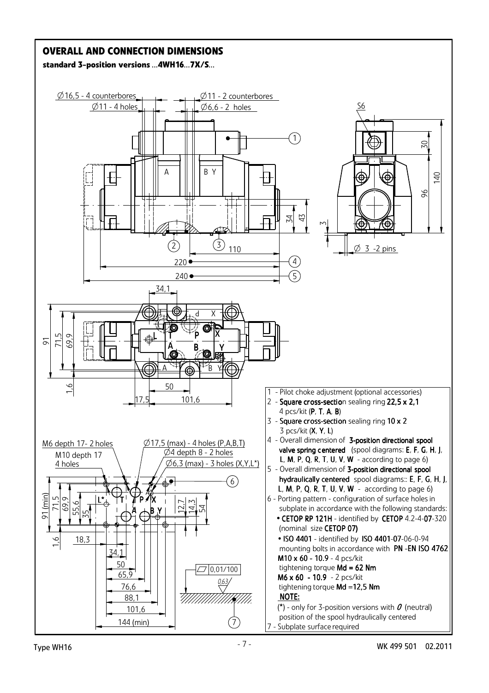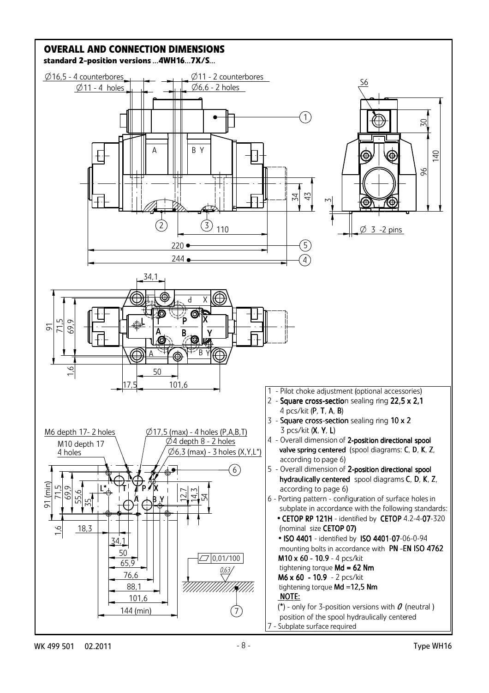

WK 499 501 02.2011 Type WH16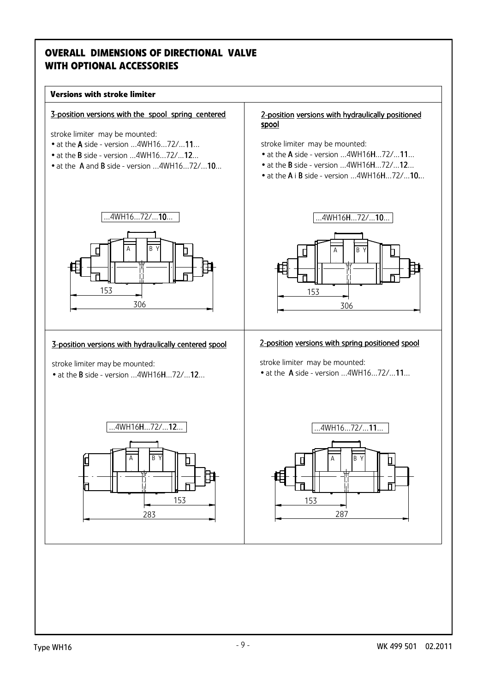# **OVERALL DIMENSIONS OF DIRECTIONAL VALVE WITH OPTIONAL ACCESSORIES**

#### **Versions with stroke limiter**

#### 3-position versions with the spool spring centered

stroke limiter may be mounted:

- at the **A** side version ...4WH16...72/...11...
- $\bullet$  at the **B** side version  $...4WH16...72/...12...$
- at the A and B side version ...4WH16...72/...10...

#### 2-position versions with hydraulically positioned spool

stroke limiter may be mounted:

- at the A side version ...4WH16H...72/...11...
- at the B side version ...4WH16H...72/...12...
- at the A i B side version ...4WH16H...72/...10...

A B Y

306



### 3-position versions with hydraulically centered spool

stroke limiter may be mounted:

 $\bullet$  at the **B** side - version  $...4$ WH16**H** $...$ 72 $/...$ **12** $...$ 



## 2-position versions with spring positioned spool

stroke limiter may be mounted:

153

 $\bullet$  at the  $\land$  side - version  $...$  4WH16 $...$ 72 $/$ ...11 $...$ 

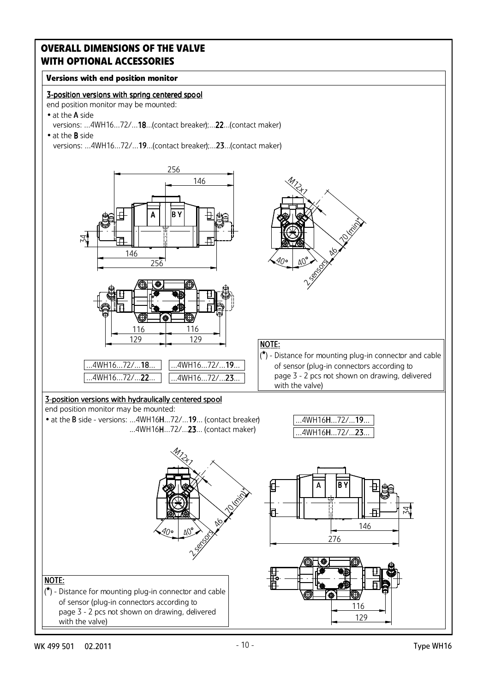## **Versions with end position monitor**

## 3-position versions with spring centered spool

end position monitor may be mounted:

- at the A side versions: ...4WH16...72/...18...(contact breaker);...22...(contact maker)
- at the B side versions: ...4WH16...72/...19...(contact breaker);...23...(contact maker)

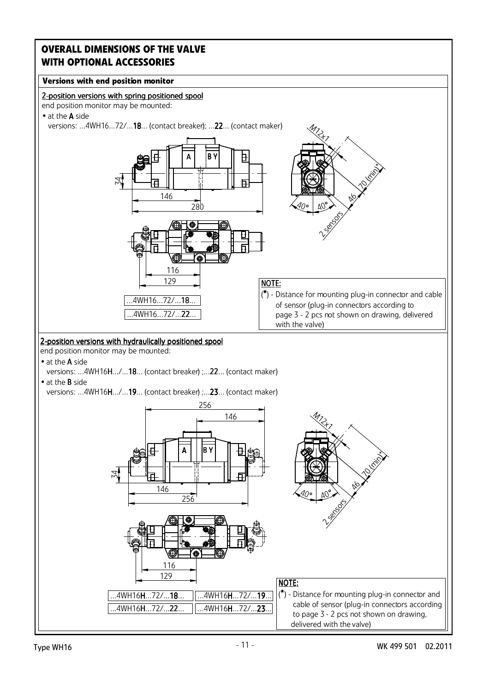## **Versions with end position monitor**



end position monitor may be mounted:

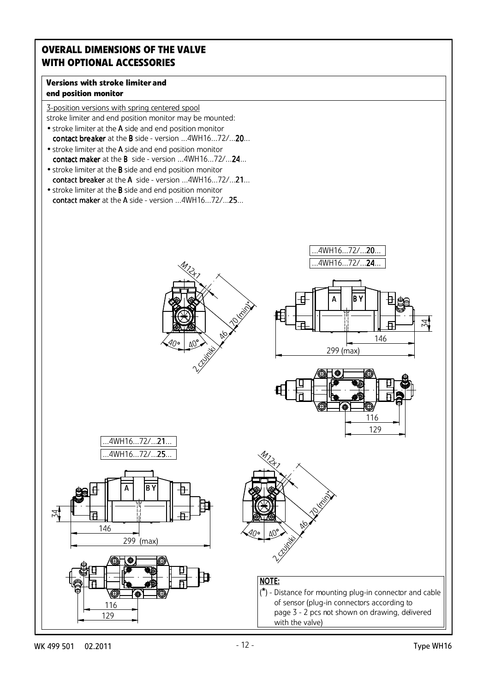## **Versions with stroke limiter and end position monitor**

3-position versions with spring centered spool stroke limiter and end position monitor may be mounted:

- stroke limiter at the A side and end position monitor contact breaker at the B side - version ...4WH16...72/...20... • stroke limiter at the A side and end position monitor
- contact maker at the B side version ...4WH16...72/...24...
- stroke limiter at the B side and end position monitor contact breaker at the A side - version ...4WH16...72/...21...
- stroke limiter at the B side and end position monitor contact maker at the A side - version ...4WH16...72/...25...

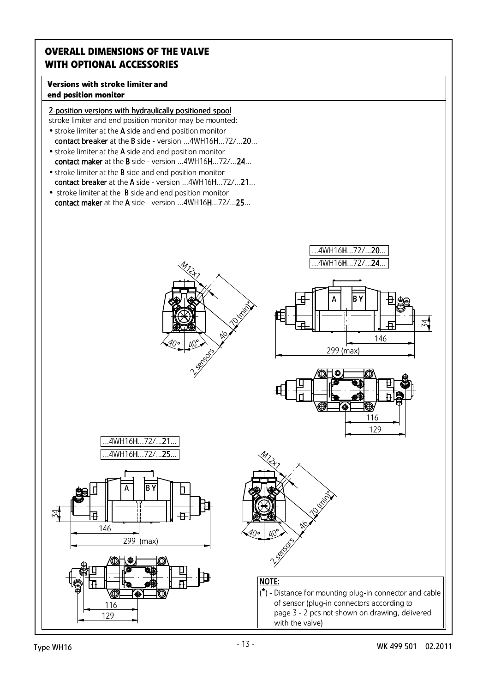## **Versions with stroke limiter and end position monitor**

## 2-position versions with hydraulically positioned spool

stroke limiter and end position monitor may be mounted: • stroke limiter at the A side and end position monitor

- contact breaker at the B side version  $...4WH16H...72/...20...$ • stroke limiter at the A side and end position monitor
- contact maker at the B side version ...4WH16H...72/...24... • stroke limiter at the B side and end position monitor
- contact breaker at the A side version ...4WH16H...72/...21...
- stroke limiter at the B side and end position monitor contact maker at the A side - version ...4WH16H...72/...25...

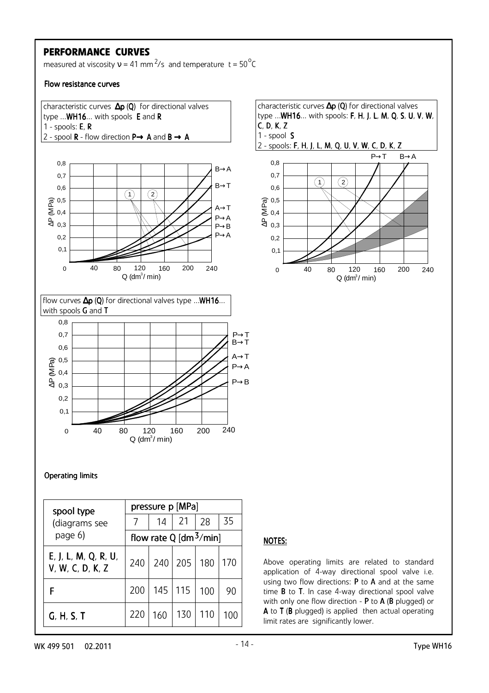## **PERFORMANCE CURVES**

measured at viscosity  $v = 41$  mm<sup>2</sup>/s and temperature t = 50<sup>°</sup>C

Flow resistance curves



### Operating limits

| spool type                               | pressure p [MPa]                   |     |             |     |     |  |  |  |  |  |
|------------------------------------------|------------------------------------|-----|-------------|-----|-----|--|--|--|--|--|
| (diagrams see                            |                                    | 14  | 21          | 28  | 35  |  |  |  |  |  |
| page 6)                                  | flow rate Q [dm <sup>3</sup> /min] |     |             |     |     |  |  |  |  |  |
| E, J, L, M, Q, R, U,<br>V, W, C, D, K, Z | 240                                | 240 | 205         | 180 | 170 |  |  |  |  |  |
| F                                        | 200                                |     | $145$   115 | 100 | 90  |  |  |  |  |  |
| G, H, S, T                               | 220                                | 160 | 130         | 110 | 100 |  |  |  |  |  |

## NOTES:

Above operating limits are related to standard application of 4-way directional spool valve i.e. using two flow directions:  $P$  to  $A$  and at the same time **B** to **T**. In case 4-way directional spool valve with only one flow direction - P to A (B plugged) or A to T (B plugged) is applied then actual operating limit rates are significantly lower.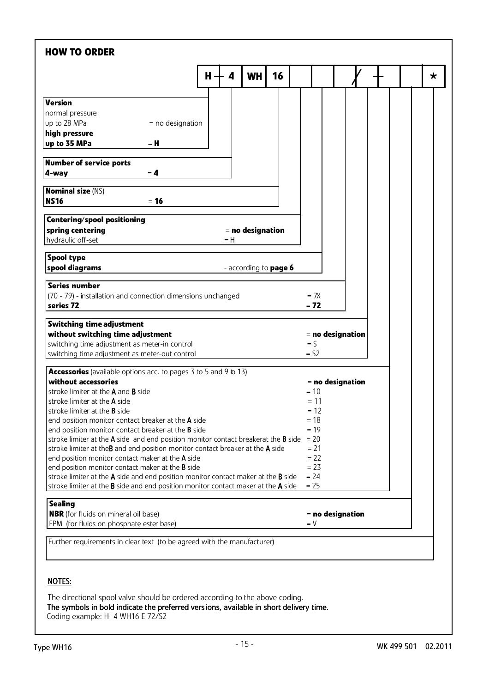| <b>HOW TO ORDER</b>                                                                                                                                                    |     |     |                              |    |                  |  |                    |  |
|------------------------------------------------------------------------------------------------------------------------------------------------------------------------|-----|-----|------------------------------|----|------------------|--|--------------------|--|
|                                                                                                                                                                        | н - | 4   | <b>WH</b>                    | 16 |                  |  |                    |  |
| <b>Version</b>                                                                                                                                                         |     |     |                              |    |                  |  |                    |  |
| normal pressure                                                                                                                                                        |     |     |                              |    |                  |  |                    |  |
| up to 28 MPa<br>= no designation<br>high pressure                                                                                                                      |     |     |                              |    |                  |  |                    |  |
| up to 35 MPa<br>= H                                                                                                                                                    |     |     |                              |    |                  |  |                    |  |
| <b>Number of service ports</b>                                                                                                                                         |     |     |                              |    |                  |  |                    |  |
| 4-way<br>$= 4$                                                                                                                                                         |     |     |                              |    |                  |  |                    |  |
| <b>Nominal size (NS)</b>                                                                                                                                               |     |     |                              |    |                  |  |                    |  |
| <b>NS16</b><br>$= 16$                                                                                                                                                  |     |     |                              |    |                  |  |                    |  |
| <b>Centering/spool positioning</b>                                                                                                                                     |     |     |                              |    |                  |  |                    |  |
| spring centering<br>hydraulic off-set                                                                                                                                  |     | = H | $=$ no designation           |    |                  |  |                    |  |
| <b>Spool type</b>                                                                                                                                                      |     |     |                              |    |                  |  |                    |  |
| spool diagrams                                                                                                                                                         |     |     | - according to <b>page 6</b> |    |                  |  |                    |  |
| <b>Series number</b>                                                                                                                                                   |     |     |                              |    |                  |  |                    |  |
| (70 - 79) - installation and connection dimensions unchanged                                                                                                           |     |     |                              |    | $= 7X$           |  |                    |  |
| series 72                                                                                                                                                              |     |     |                              |    | $= 72$           |  |                    |  |
| <b>Switching time adjustment</b>                                                                                                                                       |     |     |                              |    |                  |  |                    |  |
| without switching time adjustment<br>switching time adjustment as meter-in control                                                                                     |     |     |                              |    | $=$ $\mathsf{S}$ |  | = no designation   |  |
| switching time adjustment as meter-out control                                                                                                                         |     |     |                              |    | $=$ S2           |  |                    |  |
| Accessories (available options acc. to pages 3 to 5 and 9 to 13)                                                                                                       |     |     |                              |    |                  |  |                    |  |
| without accessories                                                                                                                                                    |     |     |                              |    |                  |  | $=$ no designation |  |
| stroke limiter at the A and B side                                                                                                                                     |     |     |                              |    | $= 10$           |  |                    |  |
| stroke limiter at the <b>A</b> side                                                                                                                                    |     |     |                              |    | $= 11$           |  |                    |  |
| stroke limiter at the <b>B</b> side                                                                                                                                    |     |     |                              |    | $= 12$<br>$= 18$ |  |                    |  |
| end position monitor contact breaker at the A side<br>end position monitor contact breaker at the B side                                                               |     |     |                              |    | $= 19$           |  |                    |  |
| stroke limiter at the $A$ side and end position monitor contact breakerat the $B$ side                                                                                 |     |     |                              |    | $= 20$           |  |                    |  |
| stroke limiter at theB and end position monitor contact breaker at the A side                                                                                          |     |     |                              |    | $= 21$           |  |                    |  |
| end position monitor contact maker at the A side                                                                                                                       |     |     |                              |    | $= 22$           |  |                    |  |
| end position monitor contact maker at the <b>B</b> side                                                                                                                |     |     |                              |    | $= 23$           |  |                    |  |
| stroke limiter at the A side and end position monitor contact maker at the B side                                                                                      |     |     |                              |    | $= 24$           |  |                    |  |
| stroke limiter at the <b>B</b> side and end position monitor contact maker at the A side                                                                               |     |     |                              |    | $= 25$           |  |                    |  |
| <b>Sealing</b>                                                                                                                                                         |     |     |                              |    |                  |  |                    |  |
| <b>NBR</b> (for fluids on mineral oil base)<br>FPM (for fluids on phosphate ester base)                                                                                |     |     |                              |    | $= V$            |  | = no designation   |  |
|                                                                                                                                                                        |     |     |                              |    |                  |  |                    |  |
| Further requirements in clear text (to be agreed with the manufacturer)                                                                                                |     |     |                              |    |                  |  |                    |  |
|                                                                                                                                                                        |     |     |                              |    |                  |  |                    |  |
| <b>NOTES:</b>                                                                                                                                                          |     |     |                              |    |                  |  |                    |  |
|                                                                                                                                                                        |     |     |                              |    |                  |  |                    |  |
|                                                                                                                                                                        |     |     |                              |    |                  |  |                    |  |
| The directional spool valve should be ordered according to the above coding.<br>The symbols in bold indicate the preferred versions, available in short delivery time. |     |     |                              |    |                  |  |                    |  |